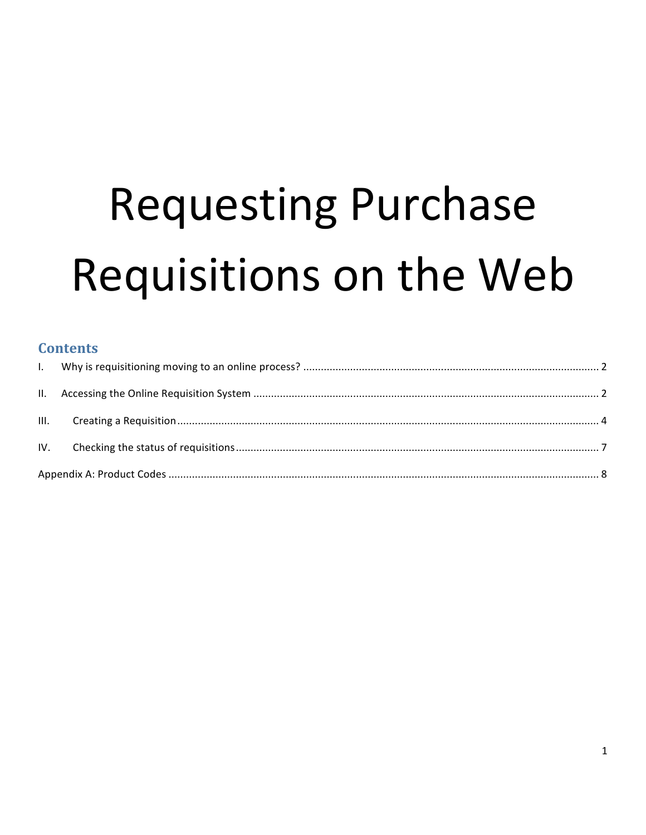# **Requesting Purchase** Requisitions on the Web

#### **Contents**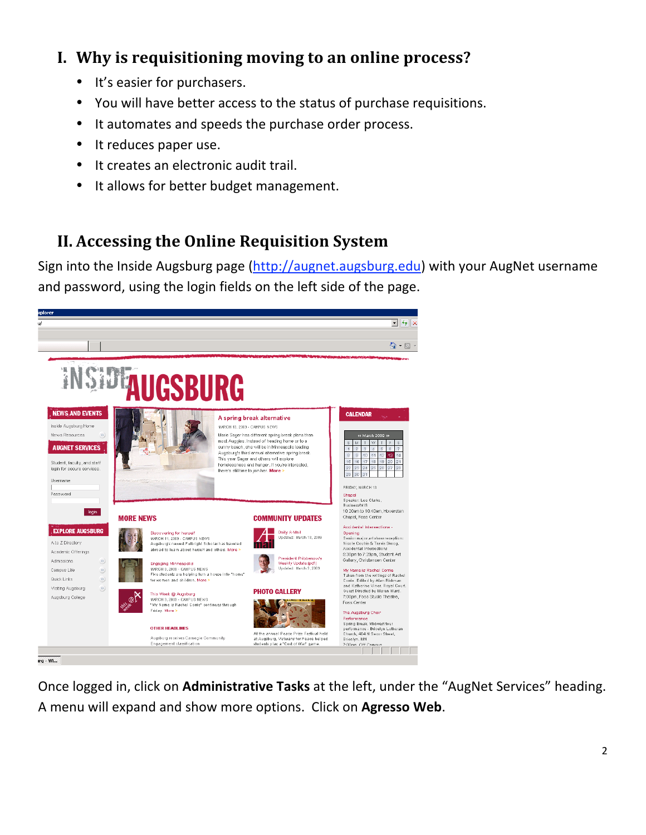# **I. Why
is
requisitioning
moving
to
an
online
process?**

- It's
easier
for
purchasers.
- You will have better access to the status of purchase requisitions.
- It automates and speeds the purchase order process.
- It reduces paper use.
- It creates an electronic audit trail.
- It allows for better budget management.

# **II. Accessing
the
Online
Requisition
System**

Sign into the Inside Augsburg page (http://augnet.augsburg.edu) with your AugNet username and password, using the login fields on the left side of the page.



Once logged in, click on Administrative Tasks at the left, under the "AugNet Services" heading. A
menu
will
expand
and
show
more
options.

Click
on **Agresso
Web**.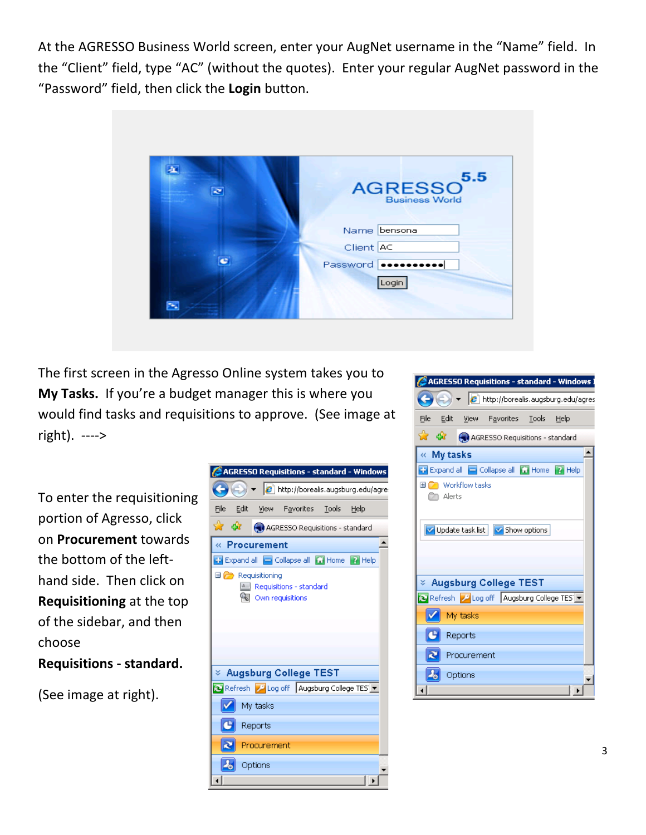At the AGRESSO Business World screen, enter your AugNet username in the "Name" field. In the "Client" field, type "AC" (without the quotes). Enter your regular AugNet password in the "Password" field, then click the Login button.



The
first
screen
in
the
Agresso
Online
system
takes
you
to My Tasks. If you're a budget manager this is where you would find tasks and requisitions to approve. (See image at right).

‐‐‐‐>

To
enter
the
requisitioning portion
of
Agresso,
click on **Procurement** towards the
bottom
of
the
left‐ hand
side.

Then
click
on **Requisitioning** at
the
top of
the
sidebar, and
then choose **Requisitions
‐
standard.**

(See
image
at
right).

|      |      |               | AGRESSO Requisitions - standard - Windows                                                                  |  |  |
|------|------|---------------|------------------------------------------------------------------------------------------------------------|--|--|
|      |      |               | $\left\langle \rightarrow\right\rangle$ = $\left\langle e\right\rangle$ http://borealis.augsburg.edu/agre. |  |  |
| File | Edit |               | View Favorites Tools Help                                                                                  |  |  |
| ☆ ☆  |      |               | AGRESSO Requisitions - standard                                                                            |  |  |
|      |      | « Procurement |                                                                                                            |  |  |
|      |      |               | Expand all Collapse all Cil Home 2 Help                                                                    |  |  |
|      |      |               | Requisitions - standard<br>Own requisitions                                                                |  |  |
|      |      |               | $\times$ Augsburg College TEST                                                                             |  |  |
|      |      |               | Refresh 2 Log off Augsburg College TES                                                                     |  |  |
|      |      | My tasks      |                                                                                                            |  |  |
|      |      | Reports       |                                                                                                            |  |  |
|      |      | Procurement   |                                                                                                            |  |  |
|      |      | Options       |                                                                                                            |  |  |
|      |      |               |                                                                                                            |  |  |

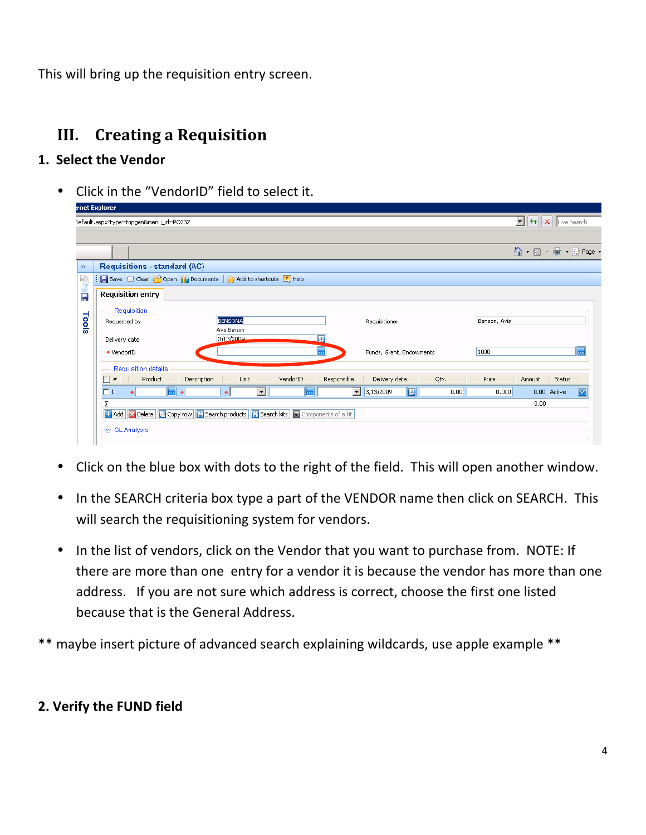This
will
bring
up
the
requisition
entry
screen.

# **III. Creating
a
Requisition**

#### **1.

Select
the
Vendor**

• Click in the "VendorID" field to select it.

|       |                                                                                          |                               |          |                    |                                                |      |              | $\mathbf{F}$ $\mathbf{F}$ $\mathbf{F}$ $\mathbf{X}$ Live Search                                                        |             |     |
|-------|------------------------------------------------------------------------------------------|-------------------------------|----------|--------------------|------------------------------------------------|------|--------------|------------------------------------------------------------------------------------------------------------------------|-------------|-----|
|       | Default.aspx?type=topgen&menu_id=PO332                                                   |                               |          |                    |                                                |      |              |                                                                                                                        |             |     |
|       |                                                                                          |                               |          |                    |                                                |      |              |                                                                                                                        |             |     |
|       |                                                                                          |                               |          |                    |                                                |      |              | $\bigcirc$ $\cdot$ $\bigcirc$ $\cdot$ $\bigcirc$ $\cdot$ $\bigcirc$ $\cdot$ $\bigcirc$ $\cdot$ $\cdot$ $\cdot$ $\cdot$ |             |     |
| $\gg$ | Requisitions - standard (AC)                                                             |                               |          |                    |                                                |      |              |                                                                                                                        |             |     |
| 里     | ■ Save □ Clear ● Open the Documents < Add to shortcuts → Help                            |                               |          |                    |                                                |      |              |                                                                                                                        |             |     |
| P     | <b>Requisition entry</b>                                                                 |                               |          |                    |                                                |      |              |                                                                                                                        |             |     |
| Tools | Requisition<br>Requested by                                                              | <b>BENSONA</b><br>Avis Benson |          |                    | Requisitioner                                  |      | Benson, Avis |                                                                                                                        |             |     |
|       | Delivery date<br>* VendorID                                                              | 3/13/2009                     |          | $\mathbf{z}$<br>ŀш | Funds, Grant, Endowments                       |      | 1000         |                                                                                                                        |             | г., |
|       | Requisition details                                                                      |                               |          |                    |                                                |      |              |                                                                                                                        |             |     |
|       | Product<br>$\Box$ #<br>Description                                                       | Unit                          | VendorID | Responsible        | Delivery date                                  | Qty. | Price        | Amount                                                                                                                 | Status      |     |
|       | $\overline{1}$ *<br>$\Box$ 1<br>÷.                                                       | $\blacktriangledown$<br>$*$   | m.       |                    | $\mathbf{E}$<br>$\frac{1}{\sqrt{2}}$ 3/13/2009 | 0.00 | 0.000        |                                                                                                                        | 0.00 Active | ⊽   |
|       | Σ                                                                                        |                               |          |                    |                                                |      |              | 0.00                                                                                                                   |             |     |
|       | 13 Add X Delete   △ Copy row   △ Search products   △ Search kits   ■ Components of a kit |                               |          |                    |                                                |      |              |                                                                                                                        |             |     |
|       |                                                                                          |                               |          |                    |                                                |      |              |                                                                                                                        |             |     |
|       | <b>⊙</b> GL Analysis                                                                     |                               |          |                    |                                                |      |              |                                                                                                                        |             |     |

- Click on the blue box with dots to the right of the field. This will open another window.
- In the SEARCH criteria box type a part of the VENDOR name then click on SEARCH. This will search the requisitioning system for vendors.
- In the list of vendors, click on the Vendor that you want to purchase from. NOTE: If there are more than one entry for a vendor it is because the vendor has more than one address. If you are not sure which address is correct, choose the first one listed because
that
is
the
General
Address.

\*\* maybe insert picture of advanced search explaining wildcards, use apple example \*\*

#### **2.
Verify
the
FUND
field**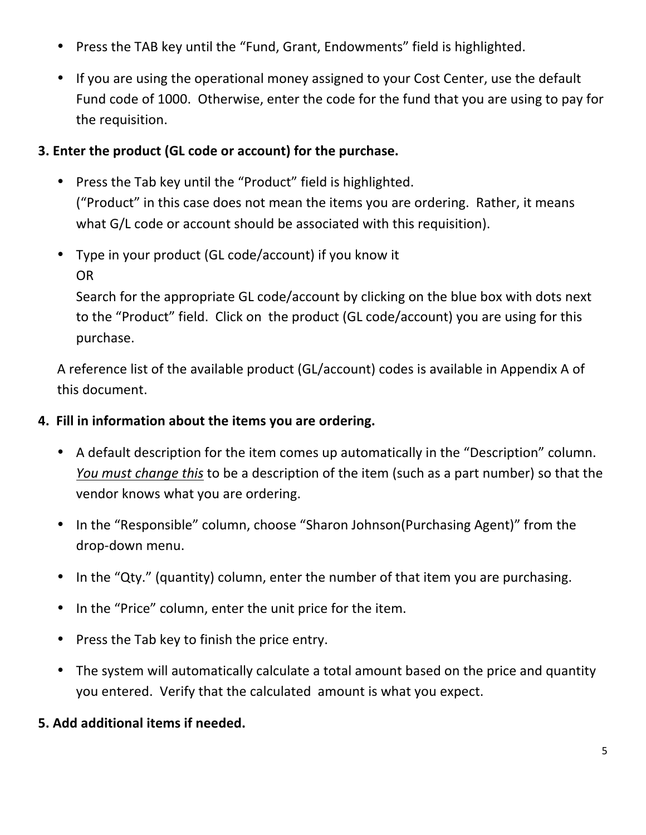- Press the TAB key until the "Fund, Grant, Endowments" field is highlighted.
- If you are using the operational money assigned to your Cost Center, use the default Fund code of 1000. Otherwise, enter the code for the fund that you are using to pay for the
requisition.

#### **3.
Enter
the
product
(GL
code
or
account)
for
the
purchase.**

- Press the Tab key until the "Product" field is highlighted. ("Product"
in
this
case
does
not
mean
the
items
you
are
ordering.

Rather,
it
means what G/L code or account should be associated with this requisition).
- Type in your product (GL code/account) if you know it OR

Search for the appropriate GL code/account by clicking on the blue box with dots next to the "Product" field. Click on the product (GL code/account) you are using for this purchase.

A reference list of the available product (GL/account) codes is available in Appendix A of this
document.

#### **4.

Fill
in
information
about
the
items
you
are
ordering.**

- A default description for the item comes up automatically in the "Description" column. You must change this to be a description of the item (such as a part number) so that the vendor
knows
what
you
are
ordering.
- In the "Responsible" column, choose "Sharon Johnson(Purchasing Agent)" from the drop‐down
menu.
- In the "Qty." (quantity) column, enter the number of that item you are purchasing.
- In the "Price" column, enter the unit price for the item.
- Press the Tab key to finish the price entry.
- The system will automatically calculate a total amount based on the price and quantity you
entered.

Verify
that
the
calculated

amount
is
what
you
expect.

#### **5.
Add
additional
items
if
needed.**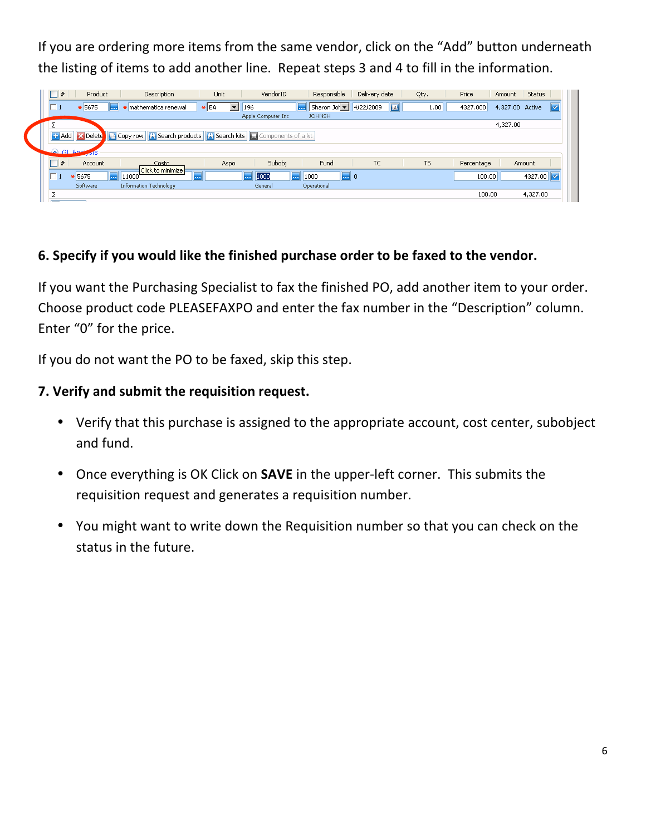If you are ordering more items from the same vendor, click on the "Add" button underneath the listing of items to add another line. Repeat steps 3 and 4 to fill in the information.

| $\Box$ #                                                                             | Product              | Description                   | Unit                                   | VendorID            | Responsible          | Delivery date             | Qty.           | Price            | <b>Status</b><br>Amount |   |
|--------------------------------------------------------------------------------------|----------------------|-------------------------------|----------------------------------------|---------------------|----------------------|---------------------------|----------------|------------------|-------------------------|---|
|                                                                                      | * 5675<br><u>   </u> | * mathematica renewal         | $\star$ EA<br>$\vert \mathbf{v} \vert$ | 196                 | Sharon Jol<br>11 - J | 4/22/2009                 | $\boxed{2}$    | 1.00<br>4327.000 | 4,327.00 Active         | M |
|                                                                                      |                      |                               |                                        | Apple Computer Inc. | <b>JOHNSH</b>        |                           |                |                  |                         |   |
|                                                                                      |                      |                               |                                        |                     |                      |                           |                |                  | 4,327.00                |   |
| 1: Add X Delete Copy row   X Search products   X Search kits   E Components of a kit |                      |                               |                                        |                     |                      |                           |                |                  |                         |   |
| $A$ GI Aper                                                                          | - 19                 |                               |                                        |                     |                      |                           |                |                  |                         |   |
| $\Box$ #                                                                             | Account              | Costc                         | Aspo                                   | Subobi              | Fund                 | TC.                       | T <sub>5</sub> | Percentage       | Amount                  |   |
|                                                                                      | * 5675<br>اسا        | Click to minimize<br>11000    | .                                      | 1000<br>11. 1       | 1000<br>1. 1         | $\overline{\mathbf{m}}$ o |                | 100,00           | 4327.00                 |   |
|                                                                                      |                      |                               |                                        |                     |                      |                           |                |                  |                         |   |
|                                                                                      | Software             | <b>Information Technology</b> |                                        | General             | Operational          |                           |                |                  |                         |   |

### **6.
Specify
if
you
would
like
the
finished
purchase
order
to
be
faxed
to
the
vendor.**

If you want the Purchasing Specialist to fax the finished PO, add another item to your order. Choose
product
code
PLEASEFAXPO
and
enter
the
fax
number
in
the
"Description"
column. Enter
"0"
for
the
price.

If you do not want the PO to be faxed, skip this step.

#### **7.
Verify
and
submit
the
requisition
request.**

- Verify that this purchase is assigned to the appropriate account, cost center, subobject and
fund.
- Once everything is OK Click on **SAVE** in the upper-left corner. This submits the requisition request and generates a requisition number.
- You might want to write down the Requisition number so that you can check on the status
in
the
future.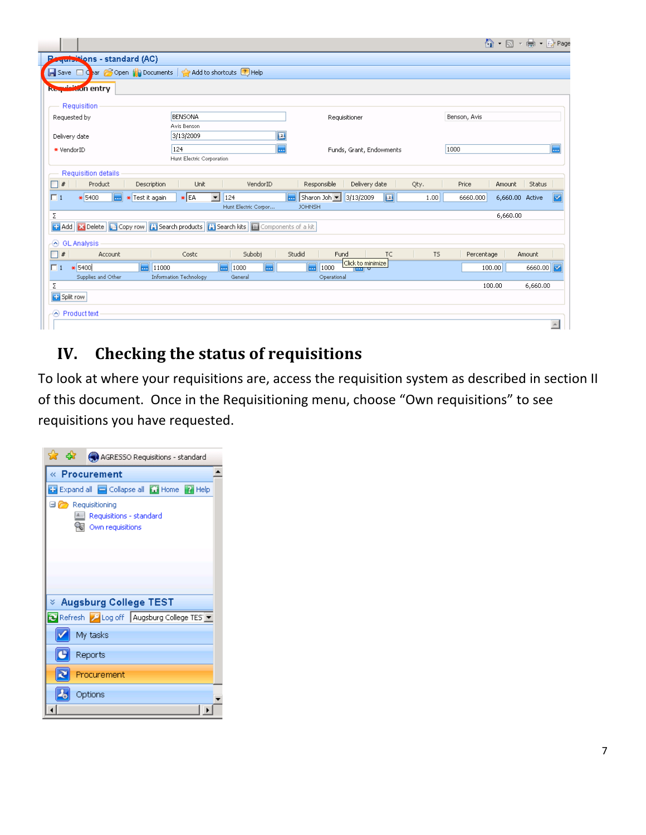|                                                                              |                                                                                                      |                                                          |                | ⊙            | $\mathbf{v}$ ( $\frac{1}{\sqrt{2}}$ ) $\mathbf{v}$ $\frac{1}{2}$ Page<br>$\cdot$ p |              |
|------------------------------------------------------------------------------|------------------------------------------------------------------------------------------------------|----------------------------------------------------------|----------------|--------------|------------------------------------------------------------------------------------|--------------|
| <del>equisit</del> ions - standard (AC)                                      |                                                                                                      |                                                          |                |              |                                                                                    |              |
| Add to shortcuts 2 Help Help (a) Documents   <a> Add to shortcuts 2 Help</a> |                                                                                                      |                                                          |                |              |                                                                                    |              |
| <b>Requisition entry</b>                                                     |                                                                                                      |                                                          |                |              |                                                                                    |              |
|                                                                              |                                                                                                      |                                                          |                |              |                                                                                    |              |
| Requisition                                                                  |                                                                                                      |                                                          |                |              |                                                                                    |              |
| Requested by                                                                 | <b>BENSONA</b>                                                                                       | Requisitioner                                            |                | Benson, Avis |                                                                                    |              |
|                                                                              | Avis Benson                                                                                          |                                                          |                |              |                                                                                    |              |
| Delivery date                                                                | 3/13/2009                                                                                            | 2                                                        |                |              |                                                                                    |              |
| * VendorID                                                                   | 124                                                                                                  | Funds, Grant, Endowments<br>                             |                | 1000         |                                                                                    | π.           |
|                                                                              | Hunt Electric Corporation                                                                            |                                                          |                |              |                                                                                    |              |
| <b>Requisition details</b>                                                   |                                                                                                      |                                                          |                |              |                                                                                    |              |
| Product<br>$\ast$<br>Description                                             | VendorID<br>Unit                                                                                     | Responsible<br>Delivery date                             | Qty.           | Price        | Status<br>Amount                                                                   |              |
| $\Box$ 1<br>* 5400<br>* Test it again<br><b>1.1.1</b>                        | $\star$ EA<br>$\overline{\phantom{a}}$<br>124                                                        | Sharon Joh   3/13/2009<br>$\overline{\mathbf{z}}$<br>اسا | 1.00           | 6660.000     | 6,660.00 Active                                                                    | M            |
|                                                                              | Hunt Electric Corpor                                                                                 | <b>JOHNSH</b>                                            |                |              |                                                                                    |              |
| Σ                                                                            |                                                                                                      |                                                          |                |              | 6,660.00                                                                           |              |
|                                                                              | <b>Components of a kit</b> Copy row and Search products and Search kits <b>a</b> Components of a kit |                                                          |                |              |                                                                                    |              |
| → GL Analysis                                                                |                                                                                                      |                                                          |                |              |                                                                                    |              |
| $\Box$ #<br>Account                                                          | Subobj<br>Costc                                                                                      | Studid<br>Fund<br>TC.                                    | T <sub>5</sub> | Percentage   | Amount                                                                             |              |
| $* 5400$<br>$\Box$ 1<br>                                                     | 11000<br>1000<br>ь.<br>۳.                                                                            | Click to minimize<br>1000<br><br>ल्ला ए                  |                | 100.00       | 6660.00                                                                            |              |
| Supplies and Other                                                           | <b>Information Technology</b><br>General                                                             | Operational                                              |                |              |                                                                                    |              |
| Σ                                                                            |                                                                                                      |                                                          |                | 100.00       | 6,660.00                                                                           |              |
| <b>Split row</b>                                                             |                                                                                                      |                                                          |                |              |                                                                                    |              |
| Product text                                                                 |                                                                                                      |                                                          |                |              |                                                                                    |              |
|                                                                              |                                                                                                      |                                                          |                |              |                                                                                    | $\leftarrow$ |

# **IV. Checking
the
status
of
requisitions**

To look at where your requisitions are, access the requisition system as described in section II of this document. Once in the Requisitioning menu, choose "Own requisitions" to see requisitions
you
have
requested.

| <b>A</b> car <b>A</b> AGRESSO Requisitions - standard                         |
|-------------------------------------------------------------------------------|
| « Procurement                                                                 |
| <b>Expand all Collapse all Cil Home</b> 2 Help                                |
| $\Box$ Requisitioning<br>Requisitions - standard<br><b>图 Own requisitions</b> |
| $\times$ Augsburg College TEST                                                |
| Refresh P Log off Augsburg College TES Y                                      |
| My tasks                                                                      |
| Reports                                                                       |
| Procurement                                                                   |
| Options                                                                       |